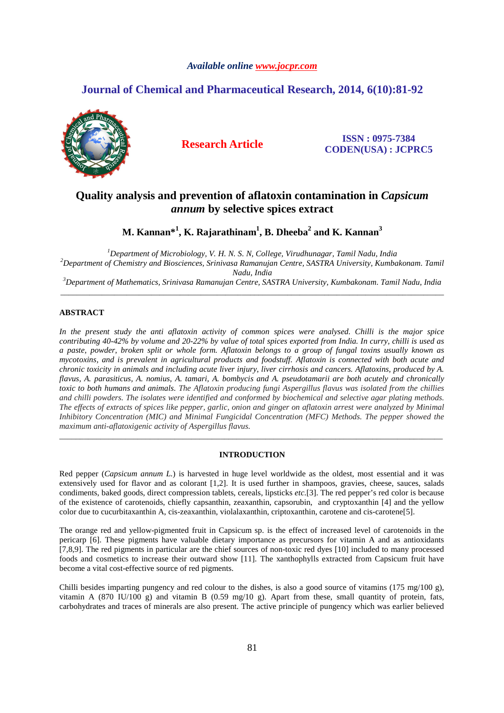# *Available online www.jocpr.com*

# **Journal of Chemical and Pharmaceutical Research, 2014, 6(10):81-92**



**Research Article ISSN : 0975-7384 CODEN(USA) : JCPRC5**

# **Quality analysis and prevention of aflatoxin contamination in** *Capsicum annum* **by selective spices extract**

**M. Kannan\*<sup>1</sup> , K. Rajarathinam<sup>1</sup> , B. Dheeba<sup>2</sup> and K. Kannan<sup>3</sup>**

*<sup>1</sup>Department of Microbiology, V. H. N. S. N, College, Virudhunagar, Tamil Nadu, India <sup>2</sup>Department of Chemistry and Biosciences, Srinivasa Ramanujan Centre, SASTRA University, Kumbakonam. Tamil Nadu, India* 

*<sup>3</sup>Department of Mathematics, Srinivasa Ramanujan Centre, SASTRA University, Kumbakonam. Tamil Nadu, India*  \_\_\_\_\_\_\_\_\_\_\_\_\_\_\_\_\_\_\_\_\_\_\_\_\_\_\_\_\_\_\_\_\_\_\_\_\_\_\_\_\_\_\_\_\_\_\_\_\_\_\_\_\_\_\_\_\_\_\_\_\_\_\_\_\_\_\_\_\_\_\_\_\_\_\_\_\_\_\_\_\_\_\_\_\_\_\_\_\_\_\_\_\_

# **ABSTRACT**

*In the present study the anti aflatoxin activity of common spices were analysed. Chilli is the major spice contributing 40-42% by volume and 20-22% by value of total spices exported from India. In curry, chilli is used as a paste, powder, broken split or whole form. Aflatoxin belongs to a group of fungal toxins usually known as mycotoxins, and is prevalent in agricultural products and foodstuff. Aflatoxin is connected with both acute and chronic toxicity in animals and including acute liver injury, liver cirrhosis and cancers. Aflatoxins, produced by A. flavus, A. parasiticus, A. nomius, A. tamari, A. bombycis and A. pseudotamarii are both acutely and chronically toxic to both humans and animals. The Aflatoxin producing fungi Aspergillus flavus was isolated from the chillies and chilli powders. The isolates were identified and conformed by biochemical and selective agar plating methods. The effects of extracts of spices like pepper, garlic, onion and ginger on aflatoxin arrest were analyzed by Minimal Inhibitory Concentration (MIC) and Minimal Fungicidal Concentration (MFC) Methods. The pepper showed the maximum anti-aflatoxigenic activity of Aspergillus flavus.* 

## **INTRODUCTION**

\_\_\_\_\_\_\_\_\_\_\_\_\_\_\_\_\_\_\_\_\_\_\_\_\_\_\_\_\_\_\_\_\_\_\_\_\_\_\_\_\_\_\_\_\_\_\_\_\_\_\_\_\_\_\_\_\_\_\_\_\_\_\_\_\_\_\_\_\_\_\_\_\_\_\_\_\_\_\_\_\_\_\_\_\_\_\_\_\_\_\_\_\_

Red pepper (*Capsicum annum L.*) is harvested in huge level worldwide as the oldest, most essential and it was extensively used for flavor and as colorant [1,2]. It is used further in shampoos, gravies, cheese, sauces, salads condiments, baked goods, direct compression tablets, cereals, lipsticks *etc.*[3]. The red pepper's red color is because of the existence of carotenoids, chiefly capsanthin, zeaxanthin, capsorubin, and cryptoxanthin [4] and the yellow color due to cucurbitaxanthin A, cis-zeaxanthin, violalaxanthin, criptoxanthin, carotene and cis-carotene[5].

The orange red and yellow-pigmented fruit in Capsicum sp. is the effect of increased level of carotenoids in the pericarp [6]. These pigments have valuable dietary importance as precursors for vitamin A and as antioxidants [7,8,9]. The red pigments in particular are the chief sources of non-toxic red dyes [10] included to many processed foods and cosmetics to increase their outward show [11]. The xanthophylls extracted from Capsicum fruit have become a vital cost-effective source of red pigments.

Chilli besides imparting pungency and red colour to the dishes, is also a good source of vitamins (175 mg/100 g), vitamin A (870 IU/100 g) and vitamin B (0.59 mg/10 g). Apart from these, small quantity of protein, fats, carbohydrates and traces of minerals are also present. The active principle of pungency which was earlier believed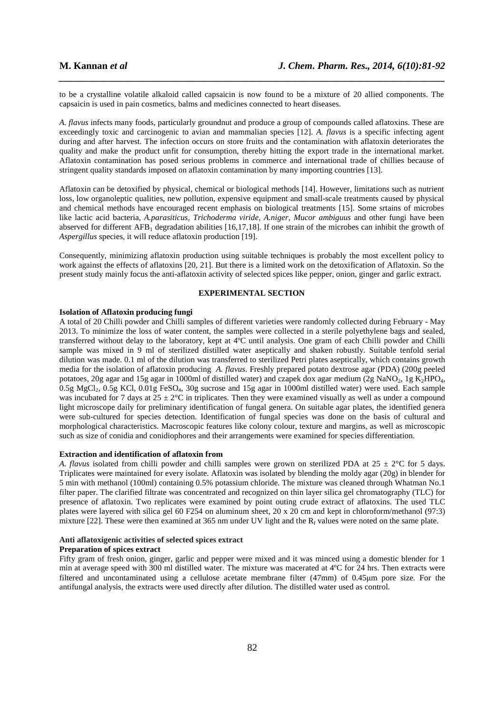to be a crystalline volatile alkaloid called capsaicin is now found to be a mixture of 20 allied components. The capsaicin is used in pain cosmetics, balms and medicines connected to heart diseases.

*\_\_\_\_\_\_\_\_\_\_\_\_\_\_\_\_\_\_\_\_\_\_\_\_\_\_\_\_\_\_\_\_\_\_\_\_\_\_\_\_\_\_\_\_\_\_\_\_\_\_\_\_\_\_\_\_\_\_\_\_\_\_\_\_\_\_\_\_\_\_\_\_\_\_\_\_\_\_*

*A. flavus* infects many foods, particularly groundnut and produce a group of compounds called aflatoxins. These are exceedingly toxic and carcinogenic to avian and mammalian species [12]. *A. flavus* is a specific infecting agent during and after harvest. The infection occurs on store fruits and the contamination with aflatoxin deteriorates the quality and make the product unfit for consumption, thereby hitting the export trade in the international market. Aflatoxin contamination has posed serious problems in commerce and international trade of chillies because of stringent quality standards imposed on aflatoxin contamination by many importing countries [13].

Aflatoxin can be detoxified by physical, chemical or biological methods [14]. However, limitations such as nutrient loss, low organoleptic qualities, new pollution, expensive equipment and small-scale treatments caused by physical and chemical methods have encouraged recent emphasis on biological treatments [15]. Some srtains of microbes like lactic acid bacteria, *A.parasiticus, Trichoderma viride, A.niger, Mucor ambiguus* and other fungi have been abserved for different  $AFB<sub>1</sub>$  degradation abilities [16,17,18]. If one strain of the microbes can inhibit the growth of *Aspergillus* species, it will reduce aflatoxin production [19].

Consequently, minimizing aflatoxin production using suitable techniques is probably the most excellent policy to work against the effects of aflatoxins [20, 21]. But there is a limited work on the detoxification of Aflatoxin. So the present study mainly focus the anti-aflatoxin activity of selected spices like pepper, onion, ginger and garlic extract.

# **EXPERIMENTAL SECTION**

#### **Isolation of Aflatoxin producing fungi**

A total of 20 Chilli powder and Chilli samples of different varieties were randomly collected during February - May 2013. To minimize the loss of water content, the samples were collected in a sterile polyethylene bags and sealed, transferred without delay to the laboratory, kept at 4ºC until analysis. One gram of each Chilli powder and Chilli sample was mixed in 9 ml of sterilized distilled water aseptically and shaken robustly. Suitable tenfold serial dilution was made. 0.1 ml of the dilution was transferred to sterilized Petri plates aseptically, which contains growth media for the isolation of aflatoxin producing *A. flavus*. Freshly prepared potato dextrose agar (PDA) (200g peeled potatoes, 20g agar and 15g agar in 1000ml of distilled water) and czapek dox agar medium (2g NaNO<sub>2</sub>, 1g K<sub>2</sub>HPO<sub>4</sub>, 0.5g MgCl2, 0.5g KCl, 0.01g FeSO4, 30g sucrose and 15g agar in 1000ml distilled water) were used. Each sample was incubated for 7 days at  $25 \pm 2^{\circ}$ C in triplicates. Then they were examined visually as well as under a compound light microscope daily for preliminary identification of fungal genera. On suitable agar plates, the identified genera were sub-cultured for species detection. Identification of fungal species was done on the basis of cultural and morphological characteristics. Macroscopic features like colony colour, texture and margins, as well as microscopic such as size of conidia and conidiophores and their arrangements were examined for species differentiation.

#### **Extraction and identification of aflatoxin from**

*A. flavus* isolated from chilli powder and chilli samples were grown on sterilized PDA at  $25 \pm 2^{\circ}$ C for 5 days. Triplicates were maintained for every isolate. Aflatoxin was isolated by blending the moldy agar (20g) in blender for 5 min with methanol (100ml) containing 0.5% potassium chloride. The mixture was cleaned through Whatman No.1 filter paper. The clarified filtrate was concentrated and recognized on thin layer silica gel chromatography (TLC) for presence of aflatoxin. Two replicates were examined by point outing crude extract of aflatoxins. The used TLC plates were layered with silica gel 60 F254 on aluminum sheet, 20 x 20 cm and kept in chloroform/methanol (97:3) mixture [22]. These were then examined at 365 nm under UV light and the  $R_f$  values were noted on the same plate.

# **Anti aflatoxigenic activities of selected spices extract**

### **Preparation of spices extract**

Fifty gram of fresh onion, ginger, garlic and pepper were mixed and it was minced using a domestic blender for 1 min at average speed with 300 ml distilled water. The mixture was macerated at 4ºC for 24 hrs. Then extracts were filtered and uncontaminated using a cellulose acetate membrane filter (47mm) of 0.45µm pore size. For the antifungal analysis, the extracts were used directly after dilution. The distilled water used as control.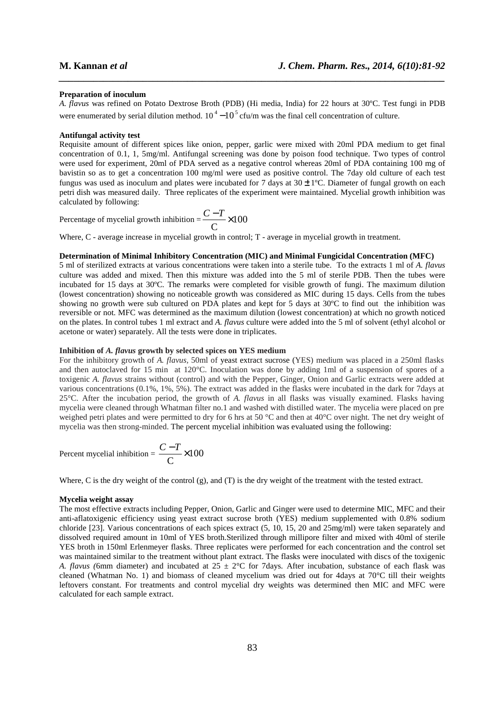#### **Preparation of inoculum**

*A. flavus* was refined on Potato Dextrose Broth (PDB) (Hi media, India) for 22 hours at 30ºC. Test fungi in PDB were enumerated by serial dilution method.  $10^4 - 10^5$  cfu/m was the final cell concentration of culture.

*\_\_\_\_\_\_\_\_\_\_\_\_\_\_\_\_\_\_\_\_\_\_\_\_\_\_\_\_\_\_\_\_\_\_\_\_\_\_\_\_\_\_\_\_\_\_\_\_\_\_\_\_\_\_\_\_\_\_\_\_\_\_\_\_\_\_\_\_\_\_\_\_\_\_\_\_\_\_*

### **Antifungal activity test**

Requisite amount of different spices like onion, pepper, garlic were mixed with 20ml PDA medium to get final concentration of 0.1, 1, 5mg/ml. Antifungal screening was done by poison food technique. Two types of control were used for experiment, 20ml of PDA served as a negative control whereas 20ml of PDA containing 100 mg of bavistin so as to get a concentration 100 mg/ml were used as positive control. The 7day old culture of each test fungus was used as inoculum and plates were incubated for 7 days at  $30 \pm 1^{\circ}$ C. Diameter of fungal growth on each petri dish was measured daily. Three replicates of the experiment were maintained. Mycelial growth inhibition was calculated by following:

Percentage of mycelial growth inhibition = 
$$
\frac{C - T}{C} \times 100
$$

Where, C - average increase in mycelial growth in control; T - average in mycelial growth in treatment.

## **Determination of Minimal Inhibitory Concentration (MIC) and Minimal Fungicidal Concentration (MFC)**

5 ml of sterilized extracts at various concentrations were taken into a sterile tube. To the extracts 1 ml of *A. flavus*  culture was added and mixed. Then this mixture was added into the 5 ml of sterile PDB. Then the tubes were incubated for 15 days at 30ºC. The remarks were completed for visible growth of fungi. The maximum dilution (lowest concentration) showing no noticeable growth was considered as MIC during 15 days. Cells from the tubes showing no growth were sub cultured on PDA plates and kept for 5 days at 30ºC to find out the inhibition was reversible or not. MFC was determined as the maximum dilution (lowest concentration) at which no growth noticed on the plates. In control tubes 1 ml extract and *A. flavus* culture were added into the 5 ml of solvent (ethyl alcohol or acetone or water) separately. All the tests were done in triplicates.

#### **Inhibition of** *A. flavus* **growth by selected spices on YES medium**

For the inhibitory growth of *A. flavus,* 50ml of yeast extract sucrose (YES) medium was placed in a 250ml flasks and then autoclaved for 15 min at 120°C. Inoculation was done by adding 1ml of a suspension of spores of a toxigenic *A. flavus* strains without (control) and with the Pepper, Ginger, Onion and Garlic extracts were added at various concentrations (0.1%, 1%, 5%). The extract was added in the flasks were incubated in the dark for 7days at 25°C. After the incubation period, the growth of *A. flavus* in all flasks was visually examined. Flasks having mycelia were cleaned through Whatman filter no.1 and washed with distilled water. The mycelia were placed on pre weighed petri plates and were permitted to dry for 6 hrs at 50 °C and then at 40°C over night. The net dry weight of mycelia was then strong-minded. The percent mycelial inhibition was evaluated using the following:

Percent mycelial inhibition = 
$$
\frac{C - T}{C} \times 100
$$

Where, C is the dry weight of the control (g), and (T) is the dry weight of the treatment with the tested extract.

#### **Mycelia weight assay**

The most effective extracts including Pepper, Onion, Garlic and Ginger were used to determine MIC, MFC and their anti-aflatoxigenic efficiency using yeast extract sucrose broth (YES) medium supplemented with 0.8% sodium chloride [23]. Various concentrations of each spices extract (5, 10, 15, 20 and 25mg/ml) were taken separately and dissolved required amount in 10ml of YES broth.Sterilized through millipore filter and mixed with 40ml of sterile YES broth in 150ml Erlenmeyer flasks. Three replicates were performed for each concentration and the control set was maintained similar to the treatment without plant extract. The flasks were inoculated with discs of the toxigenic *A. flavus (*6mm diameter) and incubated at 25 ± 2°C for 7days. After incubation, substance of each flask was cleaned (Whatman No. 1) and biomass of cleaned mycelium was dried out for 4days at 70°C till their weights leftovers constant. For treatments and control mycelial dry weights was determined then MIC and MFC were calculated for each sample extract.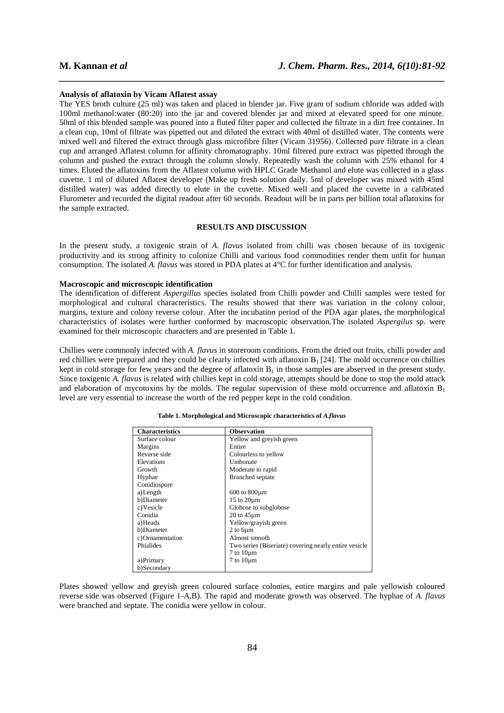#### **Analysis of aflatoxin by Vicam Aflatest assay**

The YES broth culture (25 ml) was taken and placed in blender jar. Five gram of sodium chloride was added with 100ml methanol:water (80:20) into the jar and covered blender jar and mixed at elevated speed for one minute. 50ml of this blended sample was poured into a fluted filter paper and collected the filtrate in a dirt free container. In a clean cup, 10ml of filtrate was pipetted out and diluted the extract with 40ml of distilled water. The contents were mixed well and filtered the extract through glass microfibre filter (Vicam 31956). Collected pure filtrate in a clean cup and arranged Aflatest column for affinity chromatography. 10ml filtered pure extract was pipetted through the column and pushed the extract through the column slowly. Repeatedly wash the column with 25% ethanol for 4 times. Eluted the aflatoxins from the Aflatest column with HPLC Grade Methanol and elute was collected in a glass cuvette. 1 ml of diluted Aflatest developer (Make up fresh solution daily. 5ml of developer was mixed with 45ml distilled water) was added directly to elute in the cuvette. Mixed well and placed the cuvette in a calibrated Flurometer and recorded the digital readout after 60 seconds. Readout will be in parts per billion total aflatoxins for the sample extracted.

*\_\_\_\_\_\_\_\_\_\_\_\_\_\_\_\_\_\_\_\_\_\_\_\_\_\_\_\_\_\_\_\_\_\_\_\_\_\_\_\_\_\_\_\_\_\_\_\_\_\_\_\_\_\_\_\_\_\_\_\_\_\_\_\_\_\_\_\_\_\_\_\_\_\_\_\_\_\_*

# **RESULTS AND DISCUSSION**

In the present study, a toxigenic strain of *A. flavus* isolated from chilli was chosen because of its toxigenic productivity and its strong affinity to colonize Chilli and various food commodities render them unfit for human consumption. The isolated *A. flavus* was stored in PDA plates at 4°C for further identification and analysis.

### **Macroscopic and microscopic identification**

The identification of different *Aspergillus* species isolated from Chilli powder and Chilli samples were tested for morphological and cultural characteristics. The results showed that there was variation in the colony colour, margins, texture and colony reverse colour. After the incubation period of the PDA agar plates, the morphological characteristics of isolates were further conformed by macroscopic observation.The isolated *Aspergilus* sp. were examined for their microscopic characters and are presented in Table 1.

Chillies were commonly infected with *A. flavus* in storeroom conditions. From the dried out fruits, chilli powder and red chillies were prepared and they could be clearly infected with aflatoxin  $B_1$  [24]. The mold occurrence on chillies kept in cold storage for few years and the degree of aflatoxin  $B_1$  in those samples are abserved in the present study. Since toxigenic *A. flavus* is related with chillies kept in cold storage, attempts should be done to stop the mold attack and elaboration of mycotoxins by the molds. The regular supervision of these mold occurrence and aflatoxin  $B_1$ level are very essential to increase the worth of the red pepper kept in the cold condition.

| <b>Characteristics</b> | <b>Observation</b>                                    |
|------------------------|-------------------------------------------------------|
| Surface colour         | Yellow and greyish green                              |
| <b>Margins</b>         | Entire                                                |
| Reverse side           | Colourless to yellow                                  |
| Elevations             | Umbonate                                              |
| Growth                 | Moderate to rapid                                     |
| Hyphae                 | <b>Branched</b> septate                               |
| Conidiospore           |                                                       |
| a)Length               | 600 to 800 <sub>um</sub>                              |
| b)Diameter             | 15 to 20um                                            |
| c) Vesicle             | Globose to subglobose                                 |
| Conidia                | $20 \text{ to } 45 \mu \text{m}$                      |
| a)Heads                | Yellow/grayish green                                  |
| b)Diameter             | 2 to 6um                                              |
| c) Ornamentation       | Almost smooth                                         |
| Phialides              | Two series (Biseriate) covering nearly entire vesicle |
|                        | $7$ to $10 \mu m$                                     |
| a) Primary             | $7$ to $10 \mu m$                                     |
| b)Secondary            |                                                       |

#### **Table 1. Morphological and Microscopic characteristics of** *A.flavus*

Plates showed yellow and greyish green coloured surface colonies, entire margins and pale yellowish coloured reverse side was observed (Figure 1-A,B). The rapid and moderate growth was observed. The hyphae of *A. flavus*  were branched and septate. The conidia were yellow in colour.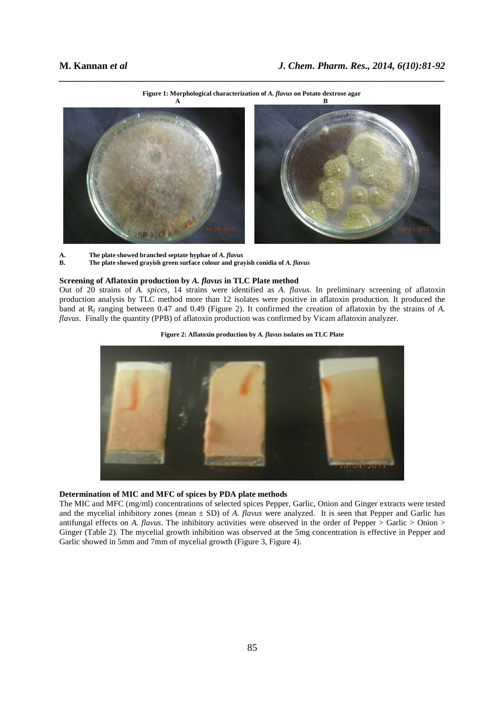

*\_\_\_\_\_\_\_\_\_\_\_\_\_\_\_\_\_\_\_\_\_\_\_\_\_\_\_\_\_\_\_\_\_\_\_\_\_\_\_\_\_\_\_\_\_\_\_\_\_\_\_\_\_\_\_\_\_\_\_\_\_\_\_\_\_\_\_\_\_\_\_\_\_\_\_\_\_\_* **Figure 1: Morphological characterization of** *A. flavus* **on Potato dextrose agar**

**A. The plate showed branched septate hyphae of** *A. flavus* **<b>B. The plate showed gravish green surface colour and gray B. The plate showed grayish green surface colour and grayish conidia of** *A. flavus* 

### **Screening of Aflatoxin production by** *A. flavus* **in TLC Plate method**

Out of 20 strains of *A. spices*, 14 strains were identified as *A. flavus.* In preliminary screening of aflatoxin production analysis by TLC method more than 12 isolates were positive in aflatoxin production. It produced the band at  $R_f$  ranging between 0.47 and 0.49 (Figure 2). It confirmed the creation of aflatoxin by the strains of A. *flavus.* Finally the quantity (PPB) of aflatoxin production was confirmed by Vicam aflatoxin analyzer.





# **Determination of MIC and MFC of spices by PDA plate methods**

The MIC and MFC (mg/ml) concentrations of selected spices Pepper, Garlic, Onion and Ginger extracts were tested and the mycelial inhibitory zones (mean  $\pm$  SD) of *A. flavus* were analyzed. It is seen that Pepper and Garlic has antifungal effects on *A. flavus*. The inhibitory activities were observed in the order of Pepper  $>$  Garlic  $>$  Onion  $>$ Ginger (Table 2). The mycelial growth inhibition was observed at the 5mg concentration is effective in Pepper and Garlic showed in 5mm and 7mm of mycelial growth (Figure 3, Figure 4).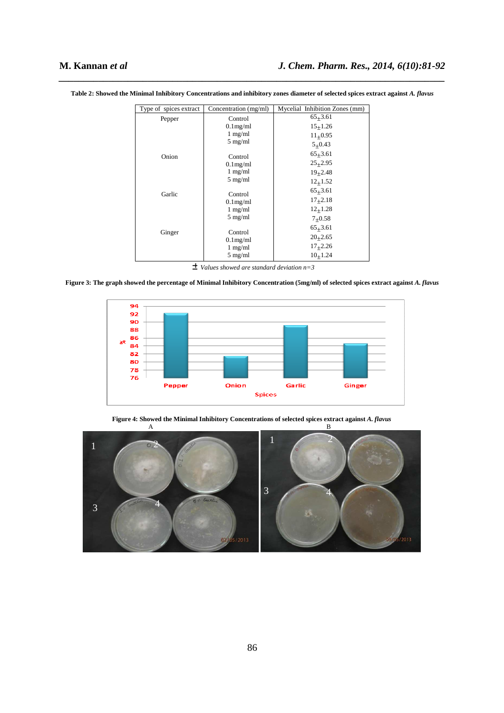| Type of spices extract | Concentration (mg/ml)                                                                                                        | Mycelial Inhibition Zones (mm) |
|------------------------|------------------------------------------------------------------------------------------------------------------------------|--------------------------------|
| Pepper                 | Control                                                                                                                      | $65+3.61$                      |
| Onion                  | $0.1$ mg/ml                                                                                                                  | $15+1.26$                      |
|                        | $1 \text{ mg/ml}$<br>$5$ mg/ml<br>Control                                                                                    | $11+0.95$                      |
|                        |                                                                                                                              | $5+0.43$                       |
|                        |                                                                                                                              | $65+3.61$                      |
|                        | $0.1$ mg/ml                                                                                                                  | $25+2.95$                      |
|                        | $1 \text{ mg/ml}$<br>$5$ mg/ml                                                                                               | $19 + 2.48$                    |
|                        |                                                                                                                              | $12 + 1.52$                    |
| Garlic<br>Ginger       | Control<br>$0.1$ mg/ml<br>$1 \text{ mg/ml}$<br>$5 \text{ mg/ml}$<br>Control<br>$0.1$ mg/ml<br>$1$ mg/ml<br>$5 \text{ mg/ml}$ | $65+3.61$                      |
|                        |                                                                                                                              | $17+2.18$                      |
|                        |                                                                                                                              | $12_{+}1.28$                   |
|                        |                                                                                                                              | $7+0.58$                       |
|                        |                                                                                                                              | $65+3.61$                      |
|                        |                                                                                                                              | $20+2.65$                      |
|                        |                                                                                                                              | $17_{+}2.26$                   |
|                        |                                                                                                                              | 10, 1.24                       |

*\_\_\_\_\_\_\_\_\_\_\_\_\_\_\_\_\_\_\_\_\_\_\_\_\_\_\_\_\_\_\_\_\_\_\_\_\_\_\_\_\_\_\_\_\_\_\_\_\_\_\_\_\_\_\_\_\_\_\_\_\_\_\_\_\_\_\_\_\_\_\_\_\_\_\_\_\_\_* **Table 2: Showed the Minimal Inhibitory Concentrations and inhibitory zones diameter of selected spices extract against** *A. flavus* 

± *Values showed are standard deviation n=3* 

**Figure 3: The graph showed the percentage of Minimal Inhibitory Concentration (5mg/ml) of selected spices extract against** *A. flavus*



**Figure 4: Showed the Minimal Inhibitory Concentrations of selected spices extract against** *A. flavus*

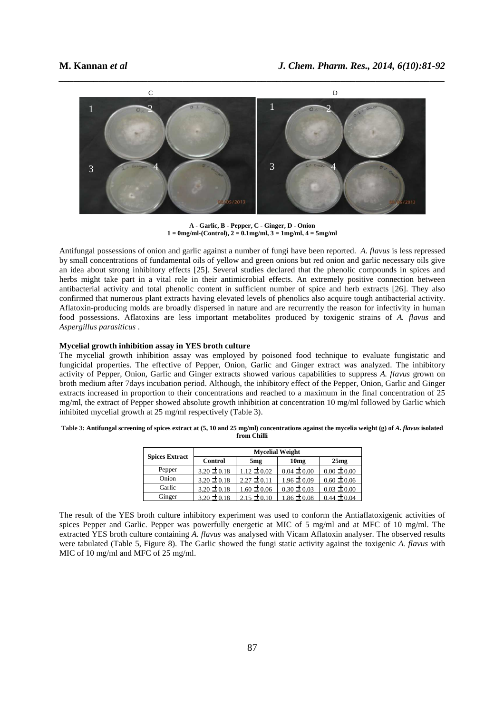

**A - Garlic, B - Pepper, C - Ginger, D - Onion 1 = 0mg/ml-(Control), 2 = 0.1mg/ml, 3 = 1mg/ml, 4 = 5mg/ml** 

Antifungal possessions of onion and garlic against a number of fungi have been reported. *A. flavus* is less repressed by small concentrations of fundamental oils of yellow and green onions but red onion and garlic necessary oils give an idea about strong inhibitory effects [25]. Several studies declared that the phenolic compounds in spices and herbs might take part in a vital role in their antimicrobial effects. An extremely positive connection between antibacterial activity and total phenolic content in sufficient number of spice and herb extracts [26]. They also confirmed that numerous plant extracts having elevated levels of phenolics also acquire tough antibacterial activity. Aflatoxin-producing molds are broadly dispersed in nature and are recurrently the reason for infectivity in human food possessions. Aflatoxins are less important metabolites produced by toxigenic strains of *A. flavus* and *Aspergillus parasiticus* .

#### **Mycelial growth inhibition assay in YES broth culture**

The mycelial growth inhibition assay was employed by poisoned food technique to evaluate fungistatic and fungicidal properties. The effective of Pepper, Onion, Garlic and Ginger extract was analyzed. The inhibitory activity of Pepper, Onion, Garlic and Ginger extracts showed various capabilities to suppress *A. flavus* grown on broth medium after 7days incubation period. Although, the inhibitory effect of the Pepper, Onion, Garlic and Ginger extracts increased in proportion to their concentrations and reached to a maximum in the final concentration of 25 mg/ml, the extract of Pepper showed absolute growth inhibition at concentration 10 mg/ml followed by Garlic which inhibited mycelial growth at 25 mg/ml respectively (Table 3).

| Table 3: Antifungal screening of spices extract at (5, 10 and 25 mg/ml) concentrations against the mycelia weight (g) of A. flavus isolated |  |
|---------------------------------------------------------------------------------------------------------------------------------------------|--|
| from Chilli                                                                                                                                 |  |

|                       | <b>Mycelial Weight</b> |                 |                  |                 |
|-----------------------|------------------------|-----------------|------------------|-----------------|
| <b>Spices Extract</b> | <b>Control</b>         | 5 <sub>mg</sub> | 10 <sub>mg</sub> | 25mg            |
| Pepper                | $3.20 \pm 0.18$        | $1.12 \pm 0.02$ | $0.04 \pm 0.00$  | $0.00 \pm 0.00$ |
| Onion                 | $3.20 \pm 0.18$        | $2.27 \pm 0.11$ | $1.96 \pm 0.09$  | $0.60 \pm 0.06$ |
| Garlic                | $3.20 \pm 0.18$        | $1.60 \pm 0.06$ | $0.30 \pm 0.03$  | $0.03 \pm 0.00$ |
| Ginger                | $3.20 \pm 0.18$        | $2.15 \pm 0.10$ | $1.86 \pm 0.08$  | $0.44 \pm 0.04$ |

The result of the YES broth culture inhibitory experiment was used to conform the Antiaflatoxigenic activities of spices Pepper and Garlic. Pepper was powerfully energetic at MIC of 5 mg/ml and at MFC of 10 mg/ml. The extracted YES broth culture containing *A. flavus* was analysed with Vicam Aflatoxin analyser. The observed results were tabulated (Table 5, Figure 8). The Garlic showed the fungi static activity against the toxigenic *A. flavus* with MIC of 10 mg/ml and MFC of 25 mg/ml.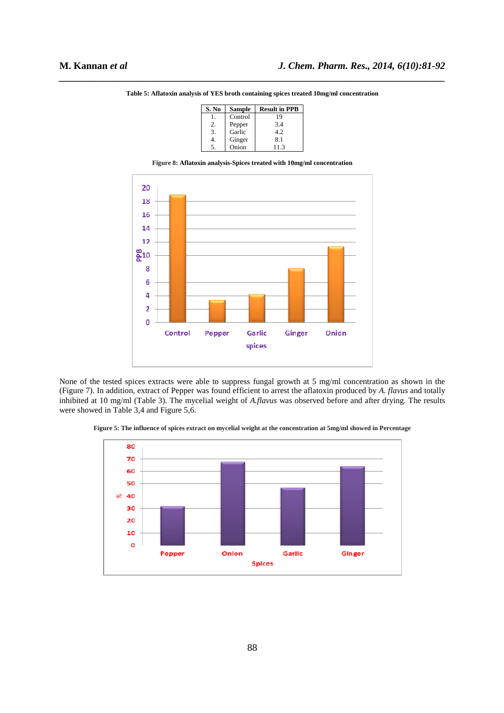| S. No | Sample  | <b>Result in PPB</b> |
|-------|---------|----------------------|
|       | Control | 19                   |
| 2.    | Pepper  | 3.4                  |
| 3.    | Garlic  | 42                   |
|       | Ginger  | 8.1                  |
| 5.    | Onion   | 11.3                 |

*\_\_\_\_\_\_\_\_\_\_\_\_\_\_\_\_\_\_\_\_\_\_\_\_\_\_\_\_\_\_\_\_\_\_\_\_\_\_\_\_\_\_\_\_\_\_\_\_\_\_\_\_\_\_\_\_\_\_\_\_\_\_\_\_\_\_\_\_\_\_\_\_\_\_\_\_\_\_* **Table 5: Aflatoxin analysis of YES broth containing spices treated 10mg/ml concentration** 





None of the tested spices extracts were able to suppress fungal growth at 5 mg/ml concentration as shown in the (Figure 7). In addition, extract of Pepper was found efficient to arrest the aflatoxin produced by *A. flavus* and totally inhibited at 10 mg/ml (Table 3). The mycelial weight of *A.flavus* was observed before and after drying. The results were showed in Table 3,4 and Figure 5,6.

**Figure 5: The influence of spices extract on mycelial weight at the concentration at 5mg/ml showed in Percentage** 

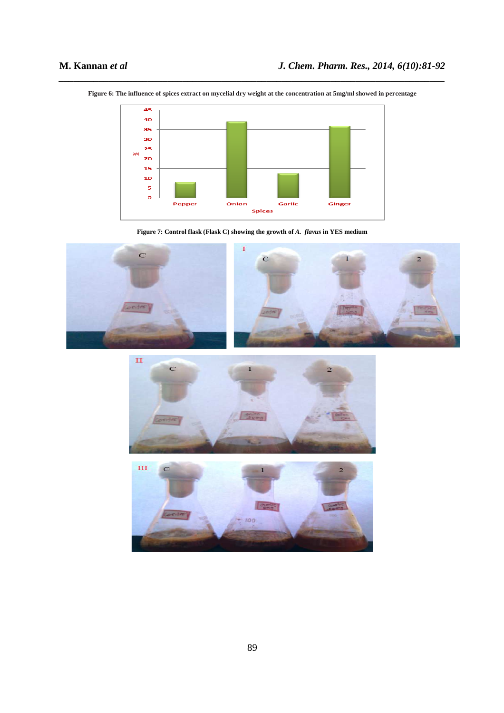

*\_\_\_\_\_\_\_\_\_\_\_\_\_\_\_\_\_\_\_\_\_\_\_\_\_\_\_\_\_\_\_\_\_\_\_\_\_\_\_\_\_\_\_\_\_\_\_\_\_\_\_\_\_\_\_\_\_\_\_\_\_\_\_\_\_\_\_\_\_\_\_\_\_\_\_\_\_\_* **Figure 6: The influence of spices extract on mycelial dry weight at the concentration at 5mg/ml showed in percentage** 

**Figure 7: Control flask (Flask C) showing the growth of** *A. flavus* **in YES medium** 





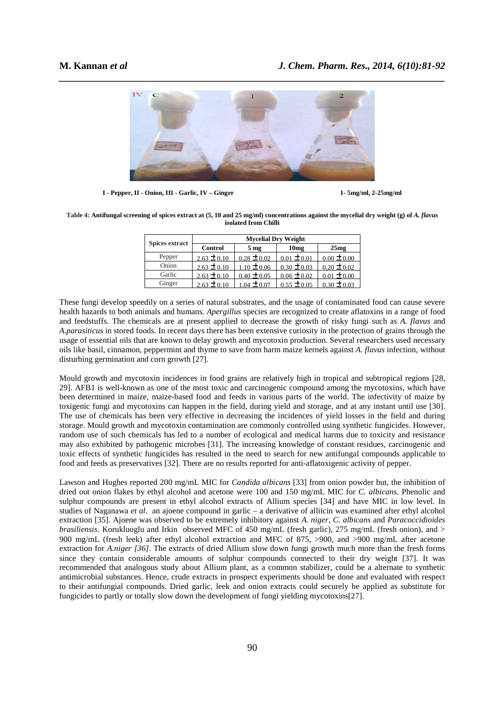

**I - Pepper, II - Onion, III - Garlic, IV – Ginger 1- 5mg/ml, 2-25mg/ml** 

Table 4: Antifungal screening of spices extract at (5, 10 and 25 mg/ml) concentrations against the mycelial dry weight (g) of *A. flavus* **isolated from Chilli** 

| <b>Spices extract</b> | <b>Mycelial Dry Weight</b> |                 |                  |                 |
|-----------------------|----------------------------|-----------------|------------------|-----------------|
|                       | <b>Control</b>             | 5 <sub>mg</sub> | 10 <sub>mg</sub> | 25mg            |
| Pepper                | $2.63 \pm 0.10$            | $0.28 \pm 0.02$ | $0.01 \pm 0.01$  | $0.00 \pm 0.00$ |
| Onion                 | $2.63 \pm 0.10$            | $1.10 \pm 0.06$ | $0.30 \pm 0.03$  | $0.20 \pm 0.02$ |
| Garlic                | $2.63 \pm 0.10$            | $0.40 \pm 0.05$ | $0.06 \pm 0.02$  | $0.01 \pm 0.00$ |
| Ginger                | $2.63 \pm 0.10$            | $+$ 0.07        | $0.55 + 0.05$    | $0.30 \pm 0.03$ |

These fungi develop speedily on a series of natural substrates, and the usage of contaminated food can cause severe health hazards to both animals and humans. *Apergillus* species are recognized to create aflatoxins in a range of food and feedstuffs. The chemicals are at present applied to decrease the growth of risky fungi such as *A. flavus* and *A.parasiticus* in stored foods. In recent days there has been extensive curiosity in the protection of grains through the usage of essential oils that are known to delay growth and mycotoxin production. Several researchers used necessary oils like basil, cinnamon, peppermint and thyme to save from harm maize kernels against *A. flavus* infection, without disturbing germination and corn growth [27].

Mould growth and mycotoxin incidences in food grains are relatively high in tropical and subtropical regions [28, 29]. AFB1 is well-known as one of the most toxic and carcinogenic compound among the mycotoxins, which have been determined in maize, maize-based food and feeds in various parts of the world. The infectivity of maize by toxigenic fungi and mycotoxins can happen in the field, during yield and storage, and at any instant until use [30]. The use of chemicals has been very effective in decreasing the incidences of yield losses in the field and during storage. Mould growth and mycotoxin contamination are commonly controlled using synthetic fungicides. However, random use of such chemicals has led to a number of ecological and medical harms due to toxicity and resistance may also exhibited by pathogenic microbes [31]. The increasing knowledge of constant residues, carcinogenic and toxic effects of synthetic fungicides has resulted in the need to search for new antifungal compounds applicable to food and feeds as preservatives [32]. There are no results reported for anti-aflatoxigenic activity of pepper.

Lawson and Hughes reported 200 mg/mL MIC for *Candida albicans* [33] from onion powder but, the inhibition of dried out onion flakes by ethyl alcohol and acetone were 100 and 150 mg/mL MIC for *C. albicans*. Phenolic and sulphur compounds are present in ethyl alcohol extracts of Allium species [34] and have MIC in low level. In studies of Naganawa *et al.* an ajoene compound in garlic – a derivative of alliicin was examined after ethyl alcohol extraction [35]. Ajoene was observed to be extremely inhibitory against *A. niger, C. albicans* and *Paracoccidioides brasiliensis*. Korukluoglu and Irkin observed MFC of 450 mg/mL (fresh garlic), 275 mg/mL (fresh onion), and > 900 mg/mL (fresh leek) after ethyl alcohol extraction and MFC of 875, >900, and >900 mg/mL after acetone extraction for *A.niger [36]*. The extracts of dried Allium slow down fungi growth much more than the fresh forms since they contain considerable amounts of sulphur compounds connected to their dry weight [37]. It was recommended that analogous study about Allium plant, as a common stabilizer, could be a alternate to synthetic antimicrobial substances. Hence, crude extracts in prospect experiments should be done and evaluated with respect to their antifungial compounds. Dried garlic, leek and onion extracts could securely be applied as substitute for fungicides to partly or totally slow down the development of fungi yielding mycotoxins[27].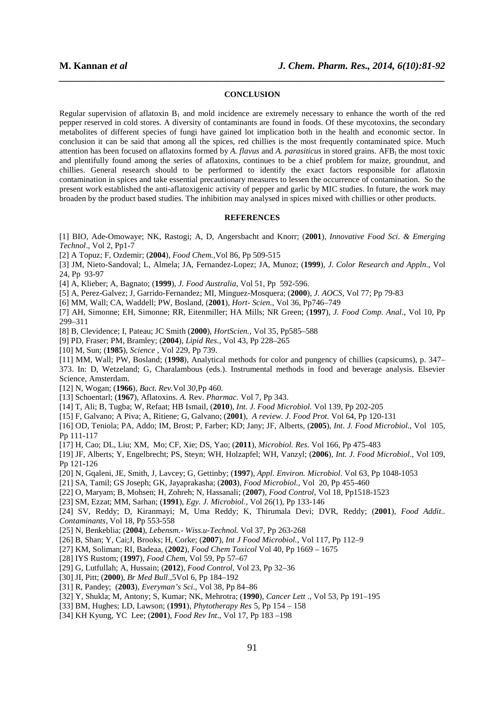#### **CONCLUSION**

*\_\_\_\_\_\_\_\_\_\_\_\_\_\_\_\_\_\_\_\_\_\_\_\_\_\_\_\_\_\_\_\_\_\_\_\_\_\_\_\_\_\_\_\_\_\_\_\_\_\_\_\_\_\_\_\_\_\_\_\_\_\_\_\_\_\_\_\_\_\_\_\_\_\_\_\_\_\_*

Regular supervision of aflatoxin  $B_1$  and mold incidence are extremely necessary to enhance the worth of the red pepper reserved in cold stores. A diversity of contaminants are found in foods. Of these mycotoxins, the secondary metabolites of different species of fungi have gained lot implication both in the health and economic sector. In conclusion it can be said that among all the spices, red chillies is the most frequently contaminated spice. Much attention has been focused on aflatoxins formed by A. flavus and A. parasiticus in stored grains. AFB<sub>1</sub> the most toxic and plentifully found among the series of aflatoxins, continues to be a chief problem for maize, groundnut, and chillies. General research should to be performed to identify the exact factors responsible for aflatoxin contamination in spices and take essential precautionary measures to lessen the occurrence of contamination. So the present work established the anti-aflatoxigenic activity of pepper and garlic by MIC studies. In future, the work may broaden by the product based studies. The inhibition may analysed in spices mixed with chillies or other products.

### **REFERENCES**

[1] BIO, Ade-Omowaye; NK, Rastogi; A, D, Angersbacht and Knorr; (**2001**), *Innovative Food Sci. & Emerging Technol*., Vol 2, Pp1-7

[2] A Topuz; F, Ozdemir; (**2004**), *Food Chem.,*Vol 86, Pp 509-515

[3] JM, Nieto-Sandoval; L, Almela; JA, Fernandez-Lopez; JA, Munoz; (**1999**), *J. Color Research and Appln*., Vol 24, Pp 93-97

[4] A, Klieber; A, Bagnato; (**1999**), *J. Food Australia*, Vol 51, Pp 592-596.

[5] A, Perez-Galvez; J, Garrido-Fernandez; MI, Minguez-Mosquera; (**2000**), *J. AOCS*, Vol 77; Pp 79-83

[6] MM, Wall; CA, Waddell; PW, Bosland, (**2001**), *Hort- Scien.,* Vol 36, Pp746–749

[7] AH, Simonne; EH, Simonne; RR, Eitenmiller; HA Mills; NR Green; (**1997**), *J. Food Comp. Anal.*, Vol 10, Pp 299–311

[8] B, Clevidence; I, Pateau; JC Smith (**2000**), *HortScien.,* Vol 35, Pp585–588

[9] PD, Fraser; PM, Bramley; (**2004**), *Lipid Res.*, Vol 43, Pp 228–265

[10] M, Sun; (**1985**), *Science* , Vol 229, Pp 739.

[11] MM, Wall; PW, Bosland; (**1998**), Analytical methods for color and pungency of chillies (capsicums), p. 347– 373. In: D, Wetzeland; G, Charalambous (eds.). Instrumental methods in food and beverage analysis. Elsevier Science, Amsterdam.

[12] N, Wogan; (**1966**), *Bact. Rev.*Vol *30,*Pp 460.

[13] Schoentarl; (**1967**), Aflatoxins. *A.* Rev. *Pharmac.* Vol 7, Pp 343.

[14] T, Ali; B, Tugba; W, Refaat; HB Ismail, (**2010**), *Int. J. Food Microbiol.* Vol 139, Pp 202-205

[15] F, Galvano; A Piva; A, Ritiene; G, Galvano; (**2001**), *A review. J. Food Prot.* Vol 64, Pp 120-131

[16] OD, Teniola; PA, Addo; IM, Brost; P, Farber; KD; Jany; JF, Alberts, (**2005**), *Int. J. Food Microbiol*., Vol 105, Pp 111-117

[17] H, Cao; DL, Liu; XM, Mo; CF, Xie; DS, Yao; (**2011**), *Microbiol. Res.* Vol 166, Pp 475-483

[19] JF, Alberts; Y, Engelbrecht; PS, Steyn; WH, Holzapfel; WH, Vanzyl; (**2006**), *Int. J. Food Microbiol*., Vol 109, Pp 121-126

[20] N, Gqaleni, JE, Smith, J, Lavcey; G, Gettinby; (**1997**), *Appl. Environ. Microbiol*. Vol 63, Pp 1048-1053

[21] SA, Tamil; GS Joseph; GK, Jayaprakasha; (**2003**), *Food Microbiol.,* Vol 20, Pp 455-460

[22] O, Maryam; B, Mohsen; H, Zohreh; N, Hassanali; (**2007**), *Food Control*, Vol 18, Pp1518-1523

[23] SM, Ezzat; MM, Sarhan; (**1991**), *Egy. J. Microbiol.,* Vol 26(1), Pp 133-146

[24] SV, Reddy; D, Kiranmayi; M, Uma Reddy; K, Thirumala Devi; DVR, Reddy; (**2001**), *Food Addit.. Contaminants,* Vol 18, Pp 553-558

[25] N, Benkeblia; (**2004**), *Lebensm.- Wiss.u-Technol.* Vol 37, Pp 263-268

[26] B, Shan; Y, Cai;J, Brooks; H, Corke; (**2007**), *Int J Food Microbiol.*, Vol 117, Pp 112–9

[27] KM, Soliman; RI, Badeaa, (**2002**), *Food Chem Toxicol* Vol 40, Pp 1669 – 1675

[28] IYS Rustom; (**1997**), *Food Chem*, Vol 59, Pp 57–67

[29] G, Lutfullah; A, Hussain; (**2012**), *Food Control*, Vol 23, Pp 32–36

[30] JI, Pitt; (**2000**), *Br Med Bull*.,5Vol 6, Pp 184–192

[31] R, Pandey; (**2003**), *Everyman's Sci*., Vol 38, Pp 84–86

[32] Y, Shukla; M, Antony; S, Kumar; NK, Mehrotra; (**1990**), *Cancer Lett* ., Vol 53, Pp 191–195

[33] BM, Hughes; LD, Lawson; (**1991**), *Phytotherapy Res* 5, Pp 154 – 158

[34] KH Kyung, YC Lee; (**2001**), *Food Rev Int*., Vol 17, Pp 183 –198